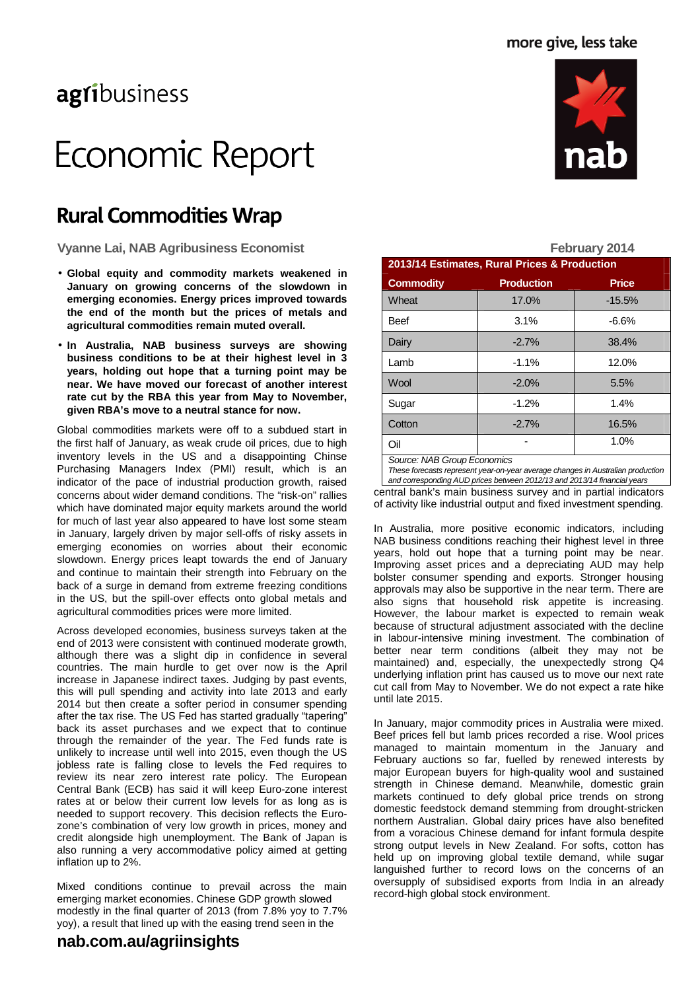# agribusiness

# Economic Report

# **Rural Commodities Wrap**

Vyanne Lai, NAB Agribusiness Economist **February 2014** 

- **Global equity and commodity markets weakened in January on growing concerns of the slowdown in emerging economies. Energy prices improved towards the end of the month but the prices of metals and agricultural commodities remain muted overall.**
- **In Australia, NAB business surveys are showing business conditions to be at their highest level in 3 years, holding out hope that a turning point may be near. We have moved our forecast of another interest rate cut by the RBA this year from May to November, given RBA's move to a neutral stance for now.**

Global commodities markets were off to a subdued start in the first half of January, as weak crude oil prices, due to high inventory levels in the US and a disappointing Chinse Purchasing Managers Index (PMI) result, which is an indicator of the pace of industrial production growth, raised concerns about wider demand conditions. The "risk-on" rallies which have dominated major equity markets around the world for much of last year also appeared to have lost some steam in January, largely driven by major sell-offs of risky assets in emerging economies on worries about their economic slowdown. Energy prices leapt towards the end of January and continue to maintain their strength into February on the back of a surge in demand from extreme freezing conditions in the US, but the spill-over effects onto global metals and agricultural commodities prices were more limited.

Across developed economies, business surveys taken at the end of 2013 were consistent with continued moderate growth, although there was a slight dip in confidence in several countries. The main hurdle to get over now is the April increase in Japanese indirect taxes. Judging by past events, this will pull spending and activity into late 2013 and early 2014 but then create a softer period in consumer spending after the tax rise. The US Fed has started gradually "tapering" back its asset purchases and we expect that to continue through the remainder of the year. The Fed funds rate is unlikely to increase until well into 2015, even though the US jobless rate is falling close to levels the Fed requires to review its near zero interest rate policy. The European Central Bank (ECB) has said it will keep Euro-zone interest rates at or below their current low levels for as long as is needed to support recovery. This decision reflects the Eurozone's combination of very low growth in prices, money and credit alongside high unemployment. The Bank of Japan is also running a very accommodative policy aimed at getting inflation up to 2%.

Mixed conditions continue to prevail across the main emerging market economies. Chinese GDP growth slowed modestly in the final quarter of 2013 (from 7.8% yoy to 7.7% yoy), a result that lined up with the easing trend seen in the



**2013/14 Estimates, Rural Prices & Production Commodity Production Price** Wheat 17.0% | -15.5% Beef 3.1% -6.6% Dairy | -2.7% | 38.4% Lamb  $\vert$  -1.1% | 12.0%  $\textsf{Wood} \qquad \qquad \textsf{[} \qquad \textsf{-2.0\%} \qquad \textsf{[} \qquad \textsf{5.5\%}$ Sugar 1.2% | 1.4% Cotton -2.7% 16.5% Oil 1.0% Source: NAB Group Economics

These forecasts represent year-on-year average changes in Australian production and corresponding AUD prices between 2012/13 and 2013/14 financial years

central bank's main business survey and in partial indicators of activity like industrial output and fixed investment spending.

In Australia, more positive economic indicators, including NAB business conditions reaching their highest level in three years, hold out hope that a turning point may be near. Improving asset prices and a depreciating AUD may help bolster consumer spending and exports. Stronger housing approvals may also be supportive in the near term. There are also signs that household risk appetite is increasing. However, the labour market is expected to remain weak because of structural adjustment associated with the decline in labour-intensive mining investment. The combination of better near term conditions (albeit they may not be maintained) and, especially, the unexpectedly strong Q4 underlying inflation print has caused us to move our next rate cut call from May to November. We do not expect a rate hike until late 2015.

In January, major commodity prices in Australia were mixed. Beef prices fell but lamb prices recorded a rise. Wool prices managed to maintain momentum in the January and February auctions so far, fuelled by renewed interests by major European buyers for high-quality wool and sustained strength in Chinese demand. Meanwhile, domestic grain markets continued to defy global price trends on strong domestic feedstock demand stemming from drought-stricken northern Australian. Global dairy prices have also benefited from a voracious Chinese demand for infant formula despite strong output levels in New Zealand. For softs, cotton has held up on improving global textile demand, while sugar languished further to record lows on the concerns of an oversupply of subsidised exports from India in an already record-high global stock environment.

### **nab.com.au/agriinsights**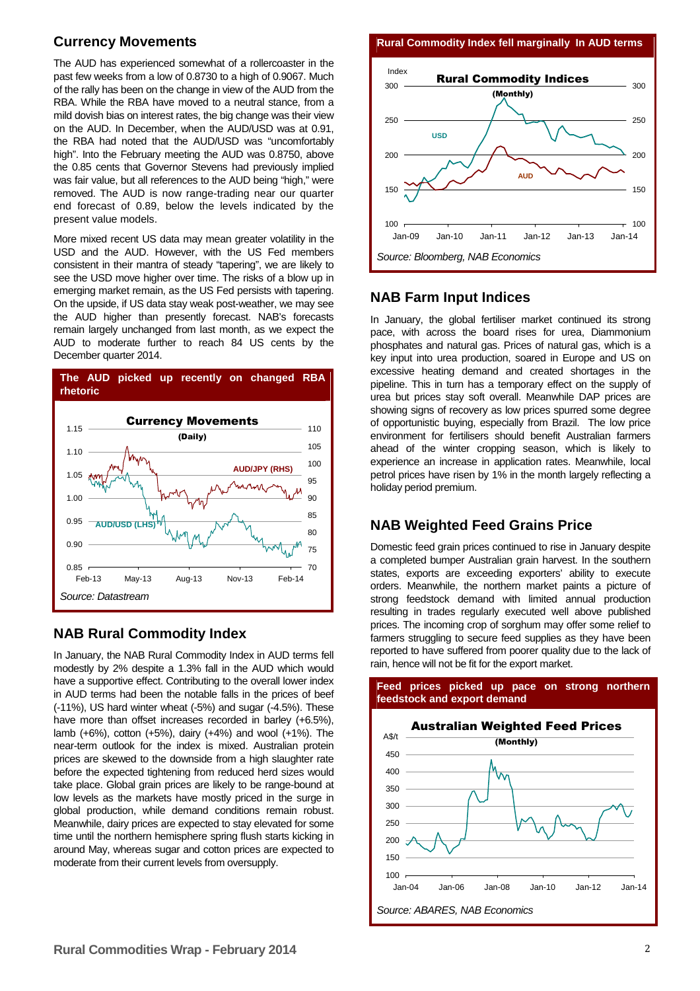### **Currency Movements**

The AUD has experienced somewhat of a rollercoaster in the past few weeks from a low of 0.8730 to a high of 0.9067. Much of the rally has been on the change in view of the AUD from the RBA. While the RBA have moved to a neutral stance, from a mild dovish bias on interest rates, the big change was their view on the AUD. In December, when the AUD/USD was at 0.91, the RBA had noted that the AUD/USD was "uncomfortably high". Into the February meeting the AUD was 0.8750, above the 0.85 cents that Governor Stevens had previously implied was fair value, but all references to the AUD being "high," were removed. The AUD is now range-trading near our quarter end forecast of 0.89, below the levels indicated by the present value models.

More mixed recent US data may mean greater volatility in the USD and the AUD. However, with the US Fed members consistent in their mantra of steady "tapering", we are likely to see the USD move higher over time. The risks of a blow up in emerging market remain, as the US Fed persists with tapering. On the upside, if US data stay weak post-weather, we may see the AUD higher than presently forecast. NAB's forecasts remain largely unchanged from last month, as we expect the AUD to moderate further to reach 84 US cents by the December quarter 2014.



### **NAB Rural Commodity Index**

In January, the NAB Rural Commodity Index in AUD terms fell modestly by 2% despite a 1.3% fall in the AUD which would have a supportive effect. Contributing to the overall lower index in AUD terms had been the notable falls in the prices of beef (-11%), US hard winter wheat (-5%) and sugar (-4.5%). These have more than offset increases recorded in barley (+6.5%), lamb (+6%), cotton (+5%), dairy (+4%) and wool (+1%). The near-term outlook for the index is mixed. Australian protein prices are skewed to the downside from a high slaughter rate before the expected tightening from reduced herd sizes would take place. Global grain prices are likely to be range-bound at low levels as the markets have mostly priced in the surge in global production, while demand conditions remain robust. Meanwhile, dairy prices are expected to stay elevated for some time until the northern hemisphere spring flush starts kicking in around May, whereas sugar and cotton prices are expected to moderate from their current levels from oversupply.

**Rural Commodity Index fell marginally In AUD terms**



### **NAB Farm Input Indices**

In January, the global fertiliser market continued its strong pace, with across the board rises for urea, Diammonium phosphates and natural gas. Prices of natural gas, which is a key input into urea production, soared in Europe and US on excessive heating demand and created shortages in the pipeline. This in turn has a temporary effect on the supply of urea but prices stay soft overall. Meanwhile DAP prices are showing signs of recovery as low prices spurred some degree of opportunistic buying, especially from Brazil. The low price environment for fertilisers should benefit Australian farmers ahead of the winter cropping season, which is likely to experience an increase in application rates. Meanwhile, local petrol prices have risen by 1% in the month largely reflecting a holiday period premium.

### **NAB Weighted Feed Grains Price**

Domestic feed grain prices continued to rise in January despite a completed bumper Australian grain harvest. In the southern states, exports are exceeding exporters' ability to execute orders. Meanwhile, the northern market paints a picture of strong feedstock demand with limited annual production resulting in trades regularly executed well above published prices. The incoming crop of sorghum may offer some relief to farmers struggling to secure feed supplies as they have been reported to have suffered from poorer quality due to the lack of rain, hence will not be fit for the export market.

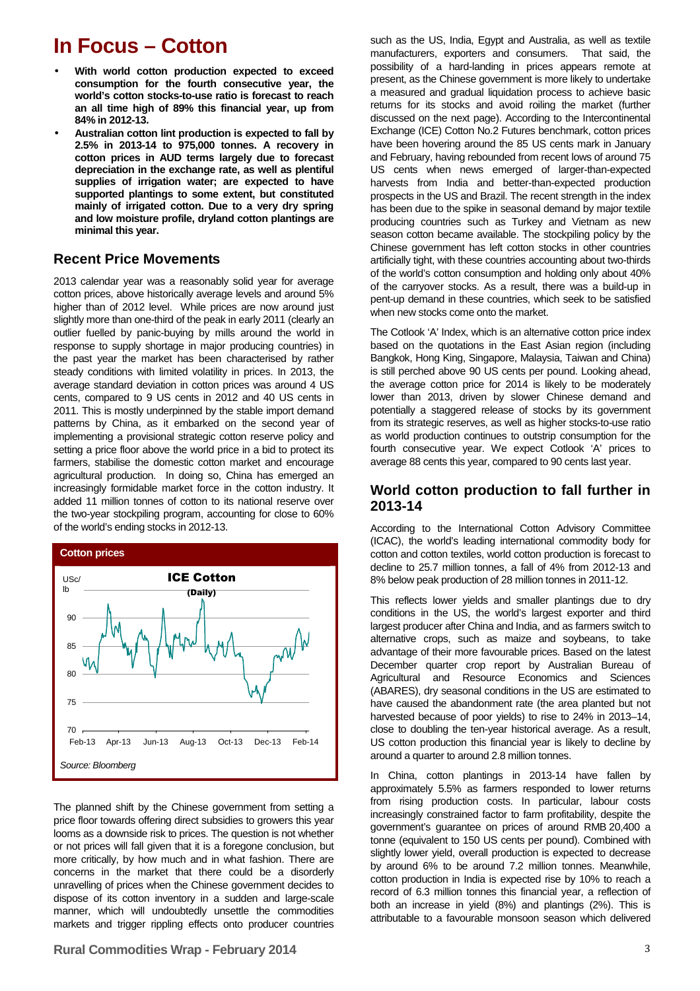# **In Focus – Cotton**

- **With world cotton production expected to exceed consumption for the fourth consecutive year, the world's cotton stocks-to-use ratio is forecast to reach an all time high of 89% this financial year, up from 84% in 2012-13.**
- **Australian cotton lint production is expected to fall by 2.5% in 2013-14 to 975,000 tonnes. A recovery in cotton prices in AUD terms largely due to forecast depreciation in the exchange rate, as well as plentiful supplies of irrigation water; are expected to have supported plantings to some extent, but constituted mainly of irrigated cotton. Due to a very dry spring and low moisture profile, dryland cotton plantings are minimal this year.**

#### **Recent Price Movements**

2013 calendar year was a reasonably solid year for average cotton prices, above historically average levels and around 5% higher than of 2012 level. While prices are now around just slightly more than one-third of the peak in early 2011 (clearly an outlier fuelled by panic-buying by mills around the world in response to supply shortage in major producing countries) in the past year the market has been characterised by rather steady conditions with limited volatility in prices. In 2013, the average standard deviation in cotton prices was around 4 US cents, compared to 9 US cents in 2012 and 40 US cents in 2011. This is mostly underpinned by the stable import demand patterns by China, as it embarked on the second year of implementing a provisional strategic cotton reserve policy and setting a price floor above the world price in a bid to protect its farmers, stabilise the domestic cotton market and encourage agricultural production. In doing so, China has emerged an increasingly formidable market force in the cotton industry. It added 11 million tonnes of cotton to its national reserve over the two-year stockpiling program, accounting for close to 60% of the world's ending stocks in 2012-13.



The planned shift by the Chinese government from setting a price floor towards offering direct subsidies to growers this year looms as a downside risk to prices. The question is not whether or not prices will fall given that it is a foregone conclusion, but more critically, by how much and in what fashion. There are concerns in the market that there could be a disorderly unravelling of prices when the Chinese government decides to dispose of its cotton inventory in a sudden and large-scale manner, which will undoubtedly unsettle the commodities markets and trigger rippling effects onto producer countries

#### **Rural Commodities Wrap - February 2014** 3

such as the US, India, Egypt and Australia, as well as textile manufacturers, exporters and consumers. That said, the possibility of a hard-landing in prices appears remote at present, as the Chinese government is more likely to undertake a measured and gradual liquidation process to achieve basic returns for its stocks and avoid roiling the market (further discussed on the next page). According to the Intercontinental Exchange (ICE) Cotton No.2 Futures benchmark, cotton prices have been hovering around the 85 US cents mark in January and February, having rebounded from recent lows of around 75 US cents when news emerged of larger-than-expected harvests from India and better-than-expected production prospects in the US and Brazil. The recent strength in the index has been due to the spike in seasonal demand by major textile producing countries such as Turkey and Vietnam as new season cotton became available. The stockpiling policy by the Chinese government has left cotton stocks in other countries artificially tight, with these countries accounting about two-thirds of the world's cotton consumption and holding only about 40% of the carryover stocks. As a result, there was a build-up in pent-up demand in these countries, which seek to be satisfied when new stocks come onto the market.

The Cotlook 'A' Index, which is an alternative cotton price index based on the quotations in the East Asian region (including Bangkok, Hong King, Singapore, Malaysia, Taiwan and China) is still perched above 90 US cents per pound. Looking ahead, the average cotton price for 2014 is likely to be moderately lower than 2013, driven by slower Chinese demand and potentially a staggered release of stocks by its government from its strategic reserves, as well as higher stocks-to-use ratio as world production continues to outstrip consumption for the fourth consecutive year. We expect Cotlook 'A' prices to average 88 cents this year, compared to 90 cents last year.

#### **World cotton production to fall further in 2013-14**

According to the International Cotton Advisory Committee (ICAC), the world's leading international commodity body for cotton and cotton textiles, world cotton production is forecast to decline to 25.7 million tonnes, a fall of 4% from 2012-13 and 8% below peak production of 28 million tonnes in 2011-12.

This reflects lower yields and smaller plantings due to dry conditions in the US, the world's largest exporter and third largest producer after China and India, and as farmers switch to alternative crops, such as maize and soybeans, to take advantage of their more favourable prices. Based on the latest December quarter crop report by Australian Bureau of Agricultural and Resource Economics and Sciences (ABARES), dry seasonal conditions in the US are estimated to have caused the abandonment rate (the area planted but not harvested because of poor vields) to rise to 24% in 2013–14. close to doubling the ten-year historical average. As a result, US cotton production this financial year is likely to decline by around a quarter to around 2.8 million tonnes.

In China, cotton plantings in 2013-14 have fallen by approximately 5.5% as farmers responded to lower returns from rising production costs. In particular, labour costs increasingly constrained factor to farm profitability, despite the government's guarantee on prices of around RMB 20,400 a tonne (equivalent to 150 US cents per pound). Combined with slightly lower yield, overall production is expected to decrease by around 6% to be around 7.2 million tonnes. Meanwhile, cotton production in India is expected rise by 10% to reach a record of 6.3 million tonnes this financial year, a reflection of both an increase in yield (8%) and plantings (2%). This is attributable to a favourable monsoon season which delivered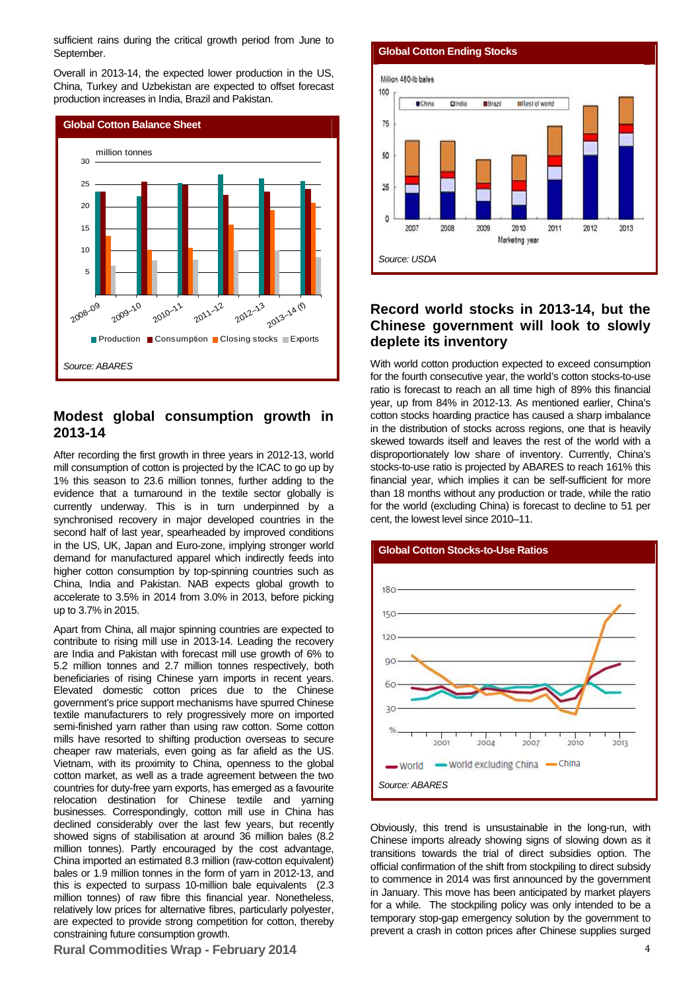sufficient rains during the critical growth period from June to September.

Overall in 2013-14, the expected lower production in the US, China, Turkey and Uzbekistan are expected to offset forecast production increases in India, Brazil and Pakistan.



#### **Modest global consumption growth in 2013-14**

After recording the first growth in three years in 2012-13, world mill consumption of cotton is projected by the ICAC to go up by 1% this season to 23.6 million tonnes, further adding to the evidence that a turnaround in the textile sector globally is currently underway. This is in turn underpinned by a synchronised recovery in major developed countries in the second half of last year, spearheaded by improved conditions in the US, UK, Japan and Euro-zone, implying stronger world demand for manufactured apparel which indirectly feeds into higher cotton consumption by top-spinning countries such as China, India and Pakistan. NAB expects global growth to accelerate to 3.5% in 2014 from 3.0% in 2013, before picking up to 3.7% in 2015.

Apart from China, all major spinning countries are expected to contribute to rising mill use in 2013-14. Leading the recovery are India and Pakistan with forecast mill use growth of 6% to 5.2 million tonnes and 2.7 million tonnes respectively, both beneficiaries of rising Chinese yarn imports in recent years. Elevated domestic cotton prices due to the Chinese government's price support mechanisms have spurred Chinese textile manufacturers to rely progressively more on imported semi-finished yarn rather than using raw cotton. Some cotton mills have resorted to shifting production overseas to secure cheaper raw materials, even going as far afield as the US. Vietnam, with its proximity to China, openness to the global cotton market, as well as a trade agreement between the two countries for duty-free yarn exports, has emerged as a favourite relocation destination for Chinese textile and yarning businesses. Correspondingly, cotton mill use in China has declined considerably over the last few years, but recently showed signs of stabilisation at around 36 million bales (8.2 million tonnes). Partly encouraged by the cost advantage, China imported an estimated 8.3 million (raw-cotton equivalent) bales or 1.9 million tonnes in the form of yarn in 2012-13, and this is expected to surpass 10-million bale equivalents (2.3 million tonnes) of raw fibre this financial year. Nonetheless, relatively low prices for alternative fibres, particularly polyester, are expected to provide strong competition for cotton, thereby constraining future consumption growth.

#### **Rural Commodities Wrap - February 2014** 4





#### **Record world stocks in 2013-14, but the Chinese government will look to slowly deplete its inventory**

With world cotton production expected to exceed consumption for the fourth consecutive year, the world's cotton stocks-to-use ratio is forecast to reach an all time high of 89% this financial year, up from 84% in 2012-13. As mentioned earlier, China's cotton stocks hoarding practice has caused a sharp imbalance in the distribution of stocks across regions, one that is heavily skewed towards itself and leaves the rest of the world with a disproportionately low share of inventory. Currently, China's stocks-to-use ratio is projected by ABARES to reach 161% this financial year, which implies it can be self-sufficient for more than 18 months without any production or trade, while the ratio for the world (excluding China) is forecast to decline to 51 per cent, the lowest level since 2010–11.



Obviously, this trend is unsustainable in the long-run, with Chinese imports already showing signs of slowing down as it transitions towards the trial of direct subsidies option. The official confirmation of the shift from stockpiling to direct subsidy to commence in 2014 was first announced by the government in January. This move has been anticipated by market players for a while. The stockpiling policy was only intended to be a temporary stop-gap emergency solution by the government to prevent a crash in cotton prices after Chinese supplies surged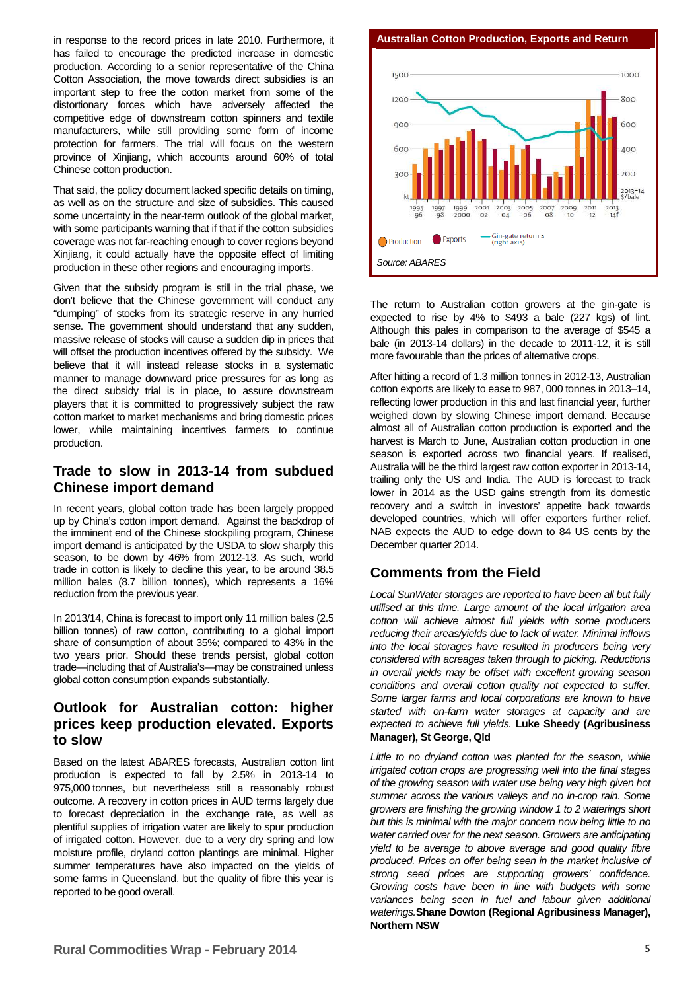in response to the record prices in late 2010. Furthermore, it has failed to encourage the predicted increase in domestic production. According to a senior representative of the China Cotton Association, the move towards direct subsidies is an important step to free the cotton market from some of the distortionary forces which have adversely affected the competitive edge of downstream cotton spinners and textile manufacturers, while still providing some form of income protection for farmers. The trial will focus on the western province of Xinjiang, which accounts around 60% of total Chinese cotton production.

That said, the policy document lacked specific details on timing, as well as on the structure and size of subsidies. This caused some uncertainty in the near-term outlook of the global market, with some participants warning that if that if the cotton subsidies coverage was not far-reaching enough to cover regions beyond Xinjiang, it could actually have the opposite effect of limiting production in these other regions and encouraging imports.

Given that the subsidy program is still in the trial phase, we don't believe that the Chinese government will conduct any "dumping" of stocks from its strategic reserve in any hurried sense. The government should understand that any sudden, massive release of stocks will cause a sudden dip in prices that will offset the production incentives offered by the subsidy. We believe that it will instead release stocks in a systematic manner to manage downward price pressures for as long as the direct subsidy trial is in place, to assure downstream players that it is committed to progressively subject the raw cotton market to market mechanisms and bring domestic prices lower, while maintaining incentives farmers to continue production.

#### **Trade to slow in 2013-14 from subdued Chinese import demand**

In recent years, global cotton trade has been largely propped up by China's cotton import demand. Against the backdrop of the imminent end of the Chinese stockpiling program, Chinese import demand is anticipated by the USDA to slow sharply this season, to be down by 46% from 2012-13. As such, world trade in cotton is likely to decline this year, to be around 38.5 million bales (8.7 billion tonnes), which represents a 16% reduction from the previous year.

In 2013/14, China is forecast to import only 11 million bales (2.5 billion tonnes) of raw cotton, contributing to a global import share of consumption of about 35%; compared to 43% in the two years prior. Should these trends persist, global cotton trade—including that of Australia's—may be constrained unless global cotton consumption expands substantially.

### **Outlook for Australian cotton: higher prices keep production elevated. Exports to slow**

Based on the latest ABARES forecasts, Australian cotton lint production is expected to fall by 2.5% in 2013-14 to 975,000 tonnes, but nevertheless still a reasonably robust outcome. A recovery in cotton prices in AUD terms largely due to forecast depreciation in the exchange rate, as well as plentiful supplies of irrigation water are likely to spur production of irrigated cotton. However, due to a very dry spring and low moisture profile, dryland cotton plantings are minimal. Higher summer temperatures have also impacted on the yields of some farms in Queensland, but the quality of fibre this year is reported to be good overall.

**Rural Commodities Wrap - February 2014** 5

**Australian Cotton Production, Exports and Return** 



The return to Australian cotton growers at the gin-gate is expected to rise by  $4\%$  to \$493 a bale (227 kgs) of lint. Although this pales in comparison to the average of \$545 a bale (in 2013-14 dollars) in the decade to 2011-12, it is still more favourable than the prices of alternative crops.

After hitting a record of 1.3 million tonnes in 2012-13, Australian cotton exports are likely to ease to 987, 000 tonnes in 2013–14, reflecting lower production in this and last financial year, further weighed down by slowing Chinese import demand. Because almost all of Australian cotton production is exported and the harvest is March to June, Australian cotton production in one season is exported across two financial years. If realised, Australia will be the third largest raw cotton exporter in 2013-14, trailing only the US and India. The AUD is forecast to track lower in 2014 as the USD gains strength from its domestic recovery and a switch in investors' appetite back towards developed countries, which will offer exporters further relief. NAB expects the AUD to edge down to 84 US cents by the December quarter 2014.

#### **Comments from the Field**

Local SunWater storages are reported to have been all but fully utilised at this time. Large amount of the local irrigation area cotton will achieve almost full yields with some producers reducing their areas/yields due to lack of water. Minimal inflows into the local storages have resulted in producers being very considered with acreages taken through to picking. Reductions in overall yields may be offset with excellent growing season conditions and overall cotton quality not expected to suffer. Some larger farms and local corporations are known to have started with on-farm water storages at capacity and are expected to achieve full yields. **Luke Sheedy (Agribusiness Manager), St George, Qld**

Little to no dryland cotton was planted for the season, while irrigated cotton crops are progressing well into the final stages of the growing season with water use being very high given hot summer across the various valleys and no in-crop rain. Some growers are finishing the growing window 1 to 2 waterings short but this is minimal with the major concern now being little to no water carried over for the next season. Growers are anticipating yield to be average to above average and good quality fibre produced. Prices on offer being seen in the market inclusive of strong seed prices are supporting growers' confidence. Growing costs have been in line with budgets with some variances being seen in fuel and labour given additional waterings.**Shane Dowton (Regional Agribusiness Manager), Northern NSW**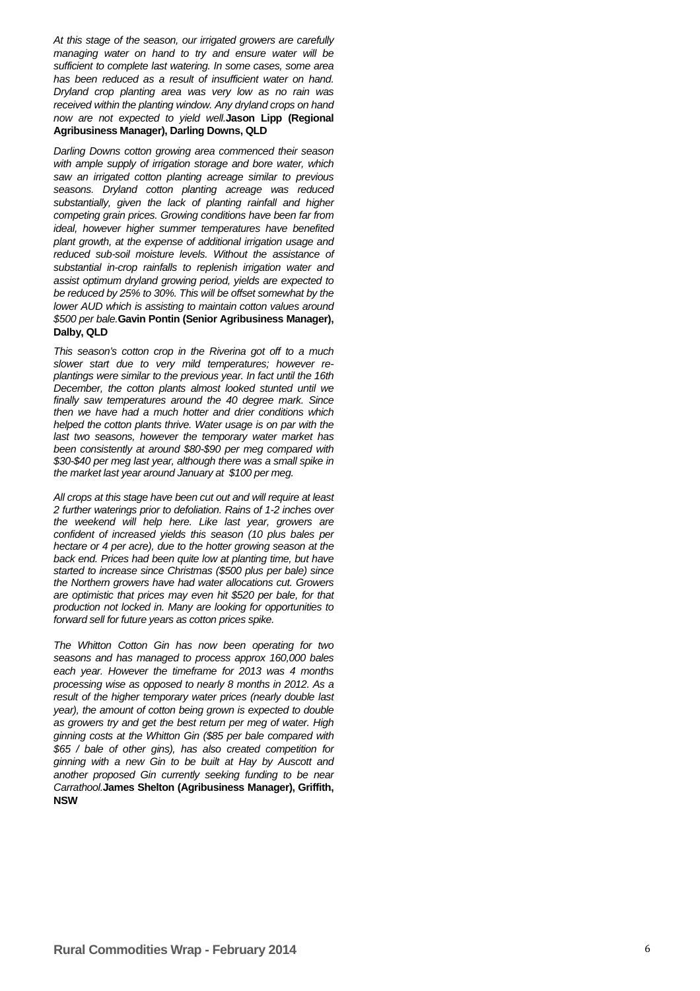At this stage of the season, our irrigated growers are carefully managing water on hand to try and ensure water will be sufficient to complete last watering. In some cases, some area has been reduced as a result of insufficient water on hand. Dryland crop planting area was very low as no rain was received within the planting window. Any dryland crops on hand now are not expected to yield well.**Jason Lipp (Regional Agribusiness Manager), Darling Downs, QLD**

Darling Downs cotton growing area commenced their season with ample supply of irrigation storage and bore water, which saw an irrigated cotton planting acreage similar to previous seasons. Dryland cotton planting acreage was reduced substantially, given the lack of planting rainfall and higher competing grain prices. Growing conditions have been far from ideal, however higher summer temperatures have benefited plant growth, at the expense of additional irrigation usage and reduced sub-soil moisture levels. Without the assistance of substantial in-crop rainfalls to replenish irrigation water and assist optimum dryland growing period, yields are expected to be reduced by 25% to 30%. This will be offset somewhat by the lower AUD which is assisting to maintain cotton values around \$500 per bale.**Gavin Pontin (Senior Agribusiness Manager), Dalby, QLD**

This season's cotton crop in the Riverina got off to a much slower start due to very mild temperatures; however replantings were similar to the previous year. In fact until the 16th December, the cotton plants almost looked stunted until we finally saw temperatures around the 40 degree mark. Since then we have had a much hotter and drier conditions which helped the cotton plants thrive. Water usage is on par with the last two seasons, however the temporary water market has been consistently at around \$80-\$90 per meg compared with \$30-\$40 per meg last year, although there was a small spike in the market last year around January at \$100 per meg.

All crops at this stage have been cut out and will require at least 2 further waterings prior to defoliation. Rains of 1-2 inches over the weekend will help here. Like last year, growers are confident of increased yields this season (10 plus bales per hectare or 4 per acre), due to the hotter growing season at the back end. Prices had been quite low at planting time, but have started to increase since Christmas (\$500 plus per bale) since the Northern growers have had water allocations cut. Growers are optimistic that prices may even hit \$520 per bale, for that production not locked in. Many are looking for opportunities to forward sell for future years as cotton prices spike.

The Whitton Cotton Gin has now been operating for two seasons and has managed to process approx 160,000 bales each year. However the timeframe for 2013 was 4 months processing wise as opposed to nearly 8 months in 2012. As a result of the higher temporary water prices (nearly double last year), the amount of cotton being grown is expected to double as growers try and get the best return per meg of water. High ginning costs at the Whitton Gin (\$85 per bale compared with \$65 / bale of other gins), has also created competition for ginning with a new Gin to be built at Hay by Auscott and another proposed Gin currently seeking funding to be near Carrathool.**James Shelton (Agribusiness Manager), Griffith, NSW**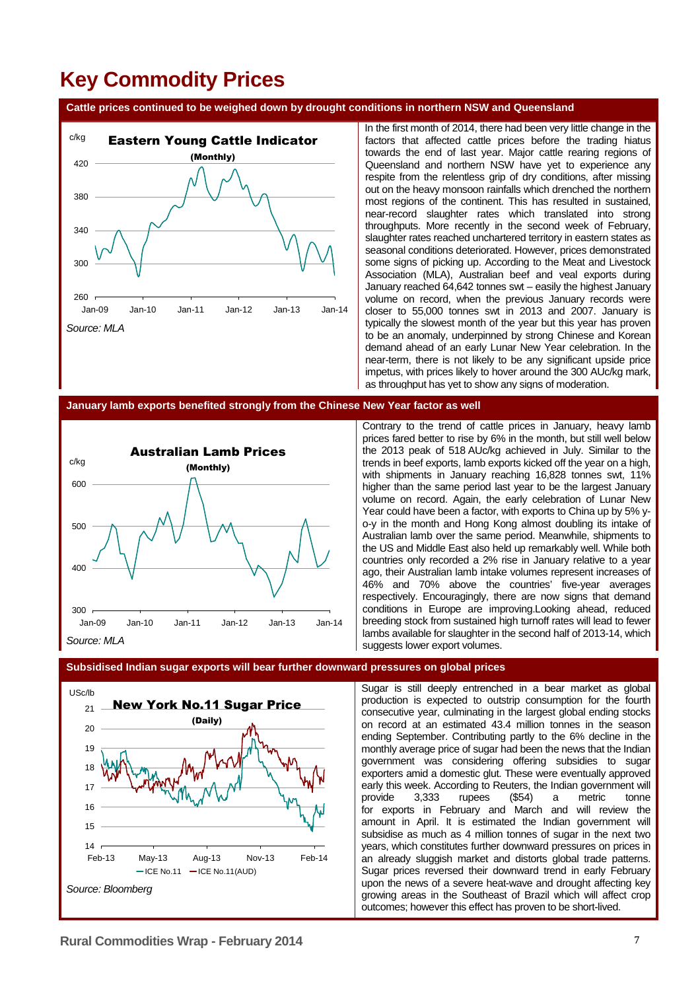# **Key Commodity Prices**

**Cattle prices continued to be weighed down by drought conditions in northern NSW and Queensland** 



In the first month of 2014, there had been very little change in the factors that affected cattle prices before the trading hiatus towards the end of last year. Major cattle rearing regions of Queensland and northern NSW have yet to experience any respite from the relentless grip of dry conditions, after missing out on the heavy monsoon rainfalls which drenched the northern most regions of the continent. This has resulted in sustained, near-record slaughter rates which translated into strong throughputs. More recently in the second week of February, slaughter rates reached unchartered territory in eastern states as seasonal conditions deteriorated. However, prices demonstrated some signs of picking up. According to the Meat and Livestock Association (MLA), Australian beef and veal exports during January reached 64,642 tonnes swt – easily the highest January volume on record, when the previous January records were closer to 55,000 tonnes swt in 2013 and 2007. January is typically the slowest month of the year but this year has proven to be an anomaly, underpinned by strong Chinese and Korean demand ahead of an early Lunar New Year celebration. In the near-term, there is not likely to be any significant upside price impetus, with prices likely to hover around the 300 AUc/kg mark, as throughput has yet to show any signs of moderation.

#### **January lamb exports benefited strongly from the Chinese New Year factor as well**



Contrary to the trend of cattle prices in January, heavy lamb prices fared better to rise by 6% in the month, but still well below the 2013 peak of 518 AUc/kg achieved in July. Similar to the trends in beef exports, lamb exports kicked off the year on a high, with shipments in January reaching 16,828 tonnes swt, 11% higher than the same period last year to be the largest January volume on record. Again, the early celebration of Lunar New Year could have been a factor, with exports to China up by 5% yo-y in the month and Hong Kong almost doubling its intake of Australian lamb over the same period. Meanwhile, shipments to the US and Middle East also held up remarkably well. While both countries only recorded a 2% rise in January relative to a year ago, their Australian lamb intake volumes represent increases of 46% and 70% above the countries' five-year averages respectively. Encouragingly, there are now signs that demand conditions in Europe are improving.Looking ahead, reduced breeding stock from sustained high turnoff rates will lead to fewer lambs available for slaughter in the second half of 2013-14, which suggests lower export volumes.

#### **Subsidised Indian sugar exports will bear further downward pressures on global prices**



Sugar is still deeply entrenched in a bear market as global production is expected to outstrip consumption for the fourth consecutive year, culminating in the largest global ending stocks on record at an estimated 43.4 million tonnes in the season ending September. Contributing partly to the 6% decline in the monthly average price of sugar had been the news that the Indian government was considering offering subsidies to sugar exporters amid a domestic glut. These were eventually approved early this week. According to Reuters, the Indian government will provide 3,333 rupees (\$54) a metric tonne for exports in February and March and will review the amount in April. It is estimated the Indian government will subsidise as much as 4 million tonnes of sugar in the next two years, which constitutes further downward pressures on prices in an already sluggish market and distorts global trade patterns. Sugar prices reversed their downward trend in early February upon the news of a severe heat-wave and drought affecting key growing areas in the Southeast of Brazil which will affect crop outcomes; however this effect has proven to be short-lived.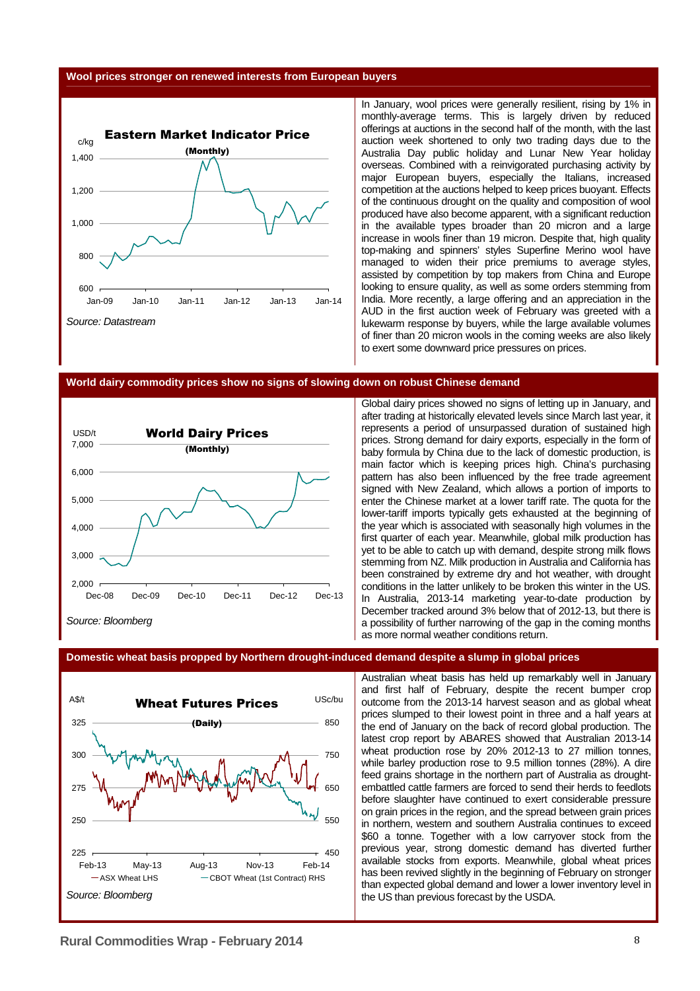#### **Wool prices stronger on renewed interests from European buyers**



In January, wool prices were generally resilient, rising by 1% in monthly-average terms. This is largely driven by reduced offerings at auctions in the second half of the month, with the last auction week shortened to only two trading days due to the Australia Day public holiday and Lunar New Year holiday overseas. Combined with a reinvigorated purchasing activity by major European buyers, especially the Italians, increased competition at the auctions helped to keep prices buoyant. Effects of the continuous drought on the quality and composition of wool produced have also become apparent, with a significant reduction in the available types broader than 20 micron and a large increase in wools finer than 19 micron. Despite that, high quality top-making and spinners' styles Superfine Merino wool have managed to widen their price premiums to average styles, assisted by competition by top makers from China and Europe looking to ensure quality, as well as some orders stemming from India. More recently, a large offering and an appreciation in the AUD in the first auction week of February was greeted with a lukewarm response by buyers, while the large available volumes of finer than 20 micron wools in the coming weeks are also likely to exert some downward price pressures on prices.

#### **World dairy commodity prices show no signs of slowing down on robust Chinese demand**



Global dairy prices showed no signs of letting up in January, and after trading at historically elevated levels since March last year, it represents a period of unsurpassed duration of sustained high prices. Strong demand for dairy exports, especially in the form of baby formula by China due to the lack of domestic production, is main factor which is keeping prices high. China's purchasing pattern has also been influenced by the free trade agreement signed with New Zealand, which allows a portion of imports to enter the Chinese market at a lower tariff rate. The quota for the lower-tariff imports typically gets exhausted at the beginning of the year which is associated with seasonally high volumes in the first quarter of each year. Meanwhile, global milk production has yet to be able to catch up with demand, despite strong milk flows stemming from NZ. Milk production in Australia and California has been constrained by extreme dry and hot weather, with drought conditions in the latter unlikely to be broken this winter in the US. In Australia, 2013-14 marketing year-to-date production by December tracked around 3% below that of 2012-13, but there is a possibility of further narrowing of the gap in the coming months as more normal weather conditions return.

#### **Domestic wheat basis propped by Northern drought-induced demand despite a slump in global prices**



Australian wheat basis has held up remarkably well in January and first half of February, despite the recent bumper crop outcome from the 2013-14 harvest season and as global wheat prices slumped to their lowest point in three and a half years at the end of January on the back of record global production. The latest crop report by ABARES showed that Australian 2013-14 wheat production rose by 20% 2012-13 to 27 million tonnes, while barley production rose to 9.5 million tonnes (28%). A dire feed grains shortage in the northern part of Australia as droughtembattled cattle farmers are forced to send their herds to feedlots before slaughter have continued to exert considerable pressure on grain prices in the region, and the spread between grain prices in northern, western and southern Australia continues to exceed \$60 a tonne. Together with a low carryover stock from the previous year, strong domestic demand has diverted further available stocks from exports. Meanwhile, global wheat prices has been revived slightly in the beginning of February on stronger than expected global demand and lower a lower inventory level in the US than previous forecast by the USDA.